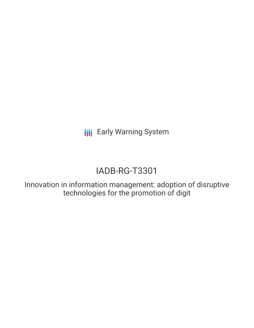**III** Early Warning System

# IADB-RG-T3301

Innovation in information management: adoption of disruptive technologies for the promotion of digit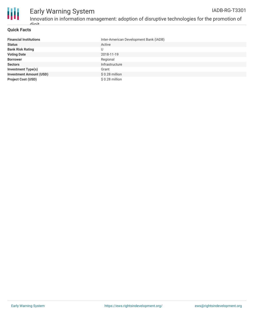

### **Quick Facts**

digit

| <b>Financial Institutions</b>  | Inter-American Development Bank (IADB) |
|--------------------------------|----------------------------------------|
| <b>Status</b>                  | Active                                 |
| <b>Bank Risk Rating</b>        | U                                      |
| <b>Voting Date</b>             | 2018-11-19                             |
| <b>Borrower</b>                | Regional                               |
| <b>Sectors</b>                 | Infrastructure                         |
| <b>Investment Type(s)</b>      | Grant                                  |
| <b>Investment Amount (USD)</b> | $$0.28$ million                        |
| <b>Project Cost (USD)</b>      | \$ 0.28 million                        |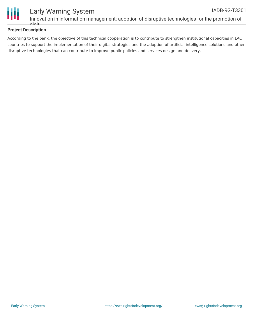

#### Early Warning System IADB-RG-T3301

Innovation in information management: adoption of disruptive technologies for the promotion of digit

## **Project Description**

According to the bank, the objective of this technical cooperation is to contribute to strengthen institutional capacities in LAC countries to support the implementation of their digital strategies and the adoption of artificial intelligence solutions and other disruptive technologies that can contribute to improve public policies and services design and delivery.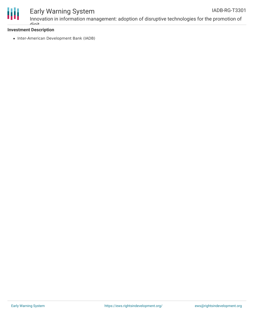

# Early Warning System

### **Investment Description**

digit

• Inter-American Development Bank (IADB)